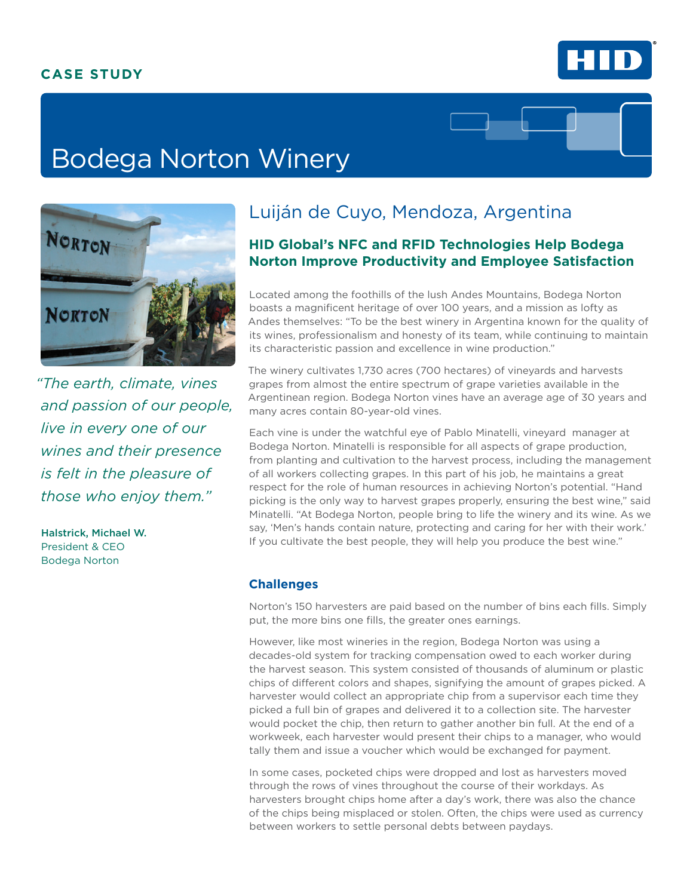

# Bodega Norton Winery



*"The earth, climate, vines and passion of our people, live in every one of our wines and their presence is felt in the pleasure of those who enjoy them."*

Halstrick, Michael W. President & CEO Bodega Norton

# Luiján de Cuyo, Mendoza, Argentina

### **HID Global's NFC and RFID Technologies Help Bodega Norton Improve Productivity and Employee Satisfaction**

Located among the foothills of the lush Andes Mountains, Bodega Norton boasts a magnificent heritage of over 100 years, and a mission as lofty as Andes themselves: "To be the best winery in Argentina known for the quality of its wines, professionalism and honesty of its team, while continuing to maintain its characteristic passion and excellence in wine production."

The winery cultivates 1,730 acres (700 hectares) of vineyards and harvests grapes from almost the entire spectrum of grape varieties available in the Argentinean region. Bodega Norton vines have an average age of 30 years and many acres contain 80-year-old vines.

Each vine is under the watchful eye of Pablo Minatelli, vineyard manager at Bodega Norton. Minatelli is responsible for all aspects of grape production, from planting and cultivation to the harvest process, including the management of all workers collecting grapes. In this part of his job, he maintains a great respect for the role of human resources in achieving Norton's potential. "Hand picking is the only way to harvest grapes properly, ensuring the best wine," said Minatelli. "At Bodega Norton, people bring to life the winery and its wine. As we say, 'Men's hands contain nature, protecting and caring for her with their work.' If you cultivate the best people, they will help you produce the best wine."

#### **Challenges**

Norton's 150 harvesters are paid based on the number of bins each fills. Simply put, the more bins one fills, the greater ones earnings.

However, like most wineries in the region, Bodega Norton was using a decades-old system for tracking compensation owed to each worker during the harvest season. This system consisted of thousands of aluminum or plastic chips of different colors and shapes, signifying the amount of grapes picked. A harvester would collect an appropriate chip from a supervisor each time they picked a full bin of grapes and delivered it to a collection site. The harvester would pocket the chip, then return to gather another bin full. At the end of a workweek, each harvester would present their chips to a manager, who would tally them and issue a voucher which would be exchanged for payment.

In some cases, pocketed chips were dropped and lost as harvesters moved through the rows of vines throughout the course of their workdays. As harvesters brought chips home after a day's work, there was also the chance of the chips being misplaced or stolen. Often, the chips were used as currency between workers to settle personal debts between paydays.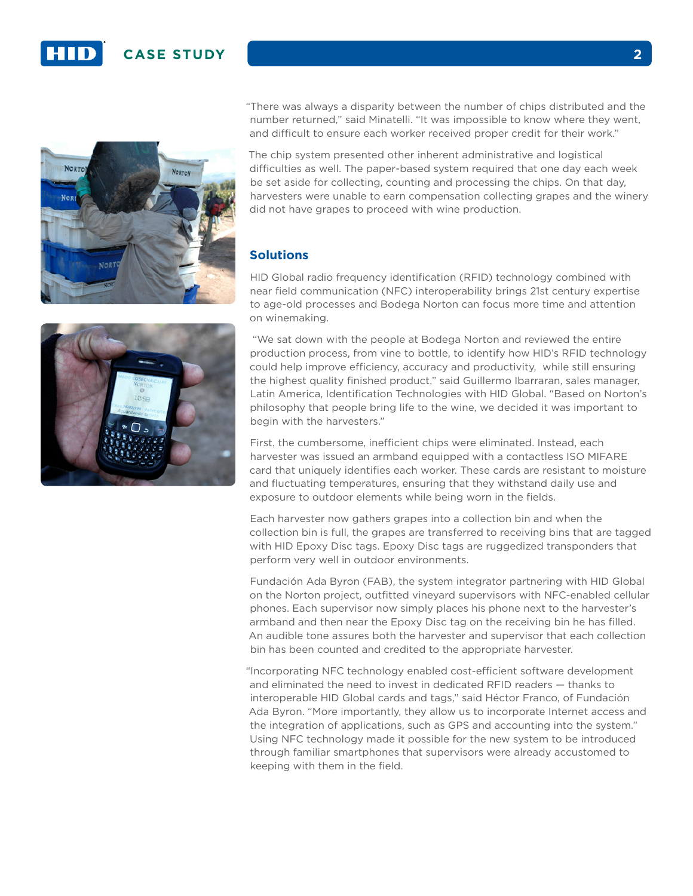



The chip system presented other inherent administrative and logistical difficulties as well. The paper-based system required that one day each week be set aside for collecting, counting and processing the chips. On that day, harvesters were unable to earn compensation collecting grapes and the winery did not have grapes to proceed with wine production.

#### **Solutions**

HID Global radio frequency identification (RFID) technology combined with near field communication (NFC) interoperability brings 21st century expertise to age-old processes and Bodega Norton can focus more time and attention on winemaking.

 "We sat down with the people at Bodega Norton and reviewed the entire production process, from vine to bottle, to identify how HID's RFID technology could help improve efficiency, accuracy and productivity, while still ensuring the highest quality finished product," said Guillermo Ibarraran, sales manager, Latin America, Identification Technologies with HID Global. "Based on Norton's philosophy that people bring life to the wine, we decided it was important to begin with the harvesters."

First, the cumbersome, inefficient chips were eliminated. Instead, each harvester was issued an armband equipped with a contactless ISO MIFARE card that uniquely identifies each worker. These cards are resistant to moisture and fluctuating temperatures, ensuring that they withstand daily use and exposure to outdoor elements while being worn in the fields.

Each harvester now gathers grapes into a collection bin and when the collection bin is full, the grapes are transferred to receiving bins that are tagged with HID Epoxy Disc tags. Epoxy Disc tags are ruggedized transponders that perform very well in outdoor environments.

Fundación Ada Byron (FAB), the system integrator partnering with HID Global on the Norton project, outfitted vineyard supervisors with NFC-enabled cellular phones. Each supervisor now simply places his phone next to the harvester's armband and then near the Epoxy Disc tag on the receiving bin he has filled. An audible tone assures both the harvester and supervisor that each collection bin has been counted and credited to the appropriate harvester.

"Incorporating NFC technology enabled cost-efficient software development and eliminated the need to invest in dedicated RFID readers — thanks to interoperable HID Global cards and tags," said Héctor Franco, of Fundación Ada Byron. "More importantly, they allow us to incorporate Internet access and the integration of applications, such as GPS and accounting into the system." Using NFC technology made it possible for the new system to be introduced through familiar smartphones that supervisors were already accustomed to keeping with them in the field.

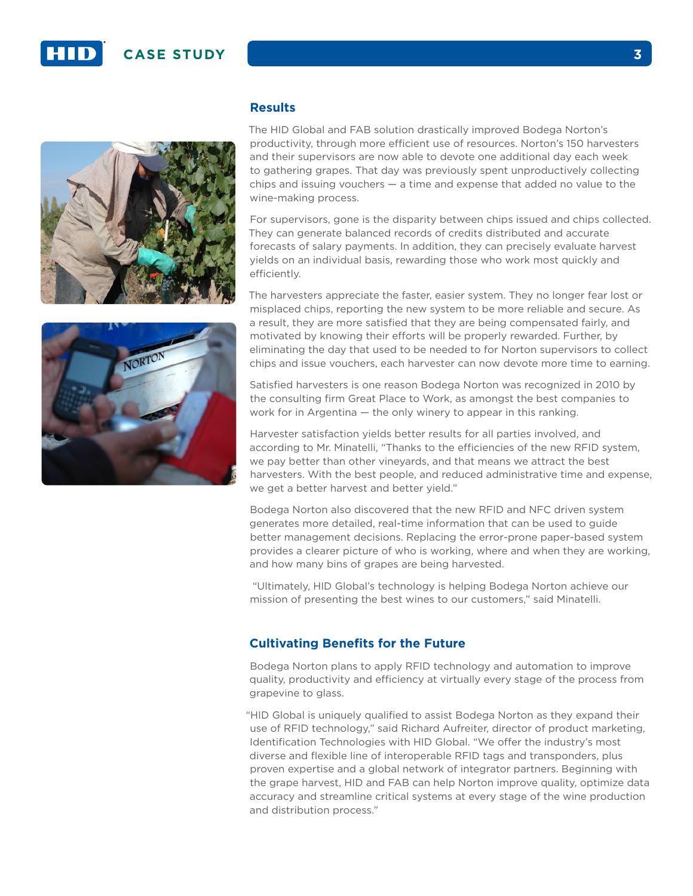



#### **Results**

The HID Global and FAB solution drastically improved Bodega Norton's productivity, through more efficient use of resources. Norton's 150 harvesters and their supervisors are now able to devote one additional day each week to gathering grapes. That day was previously spent unproductively collecting chips and issuing vouchers — a time and expense that added no value to the wine-making process.

For supervisors, gone is the disparity between chips issued and chips collected. They can generate balanced records of credits distributed and accurate forecasts of salary payments. In addition, they can precisely evaluate harvest yields on an individual basis, rewarding those who work most quickly and efficiently.

The harvesters appreciate the faster, easier system. They no longer fear lost or misplaced chips, reporting the new system to be more reliable and secure. As a result, they are more satisfied that they are being compensated fairly, and motivated by knowing their efforts will be properly rewarded. Further, by eliminating the day that used to be needed to for Norton supervisors to collect chips and issue vouchers, each harvester can now devote more time to earning.

Satisfied harvesters is one reason Bodega Norton was recognized in 2010 by the consulting firm Great Place to Work, as amongst the best companies to work for in Argentina — the only winery to appear in this ranking.

Harvester satisfaction yields better results for all parties involved, and according to Mr. Minatelli, "Thanks to the efficiencies of the new RFID system, we pay better than other vineyards, and that means we attract the best harvesters. With the best people, and reduced administrative time and expense, we get a better harvest and better yield."

Bodega Norton also discovered that the new RFID and NFC driven system generates more detailed, real-time information that can be used to guide better management decisions. Replacing the error-prone paper-based system provides a clearer picture of who is working, where and when they are working, and how many bins of grapes are being harvested.

 "Ultimately, HID Global's technology is helping Bodega Norton achieve our mission of presenting the best wines to our customers," said Minatelli.

#### **Cultivating Benefits for the Future**

Bodega Norton plans to apply RFID technology and automation to improve quality, productivity and efficiency at virtually every stage of the process from grapevine to glass.

"HID Global is uniquely qualified to assist Bodega Norton as they expand their use of RFID technology," said Richard Aufreiter, director of product marketing, Identification Technologies with HID Global. "We offer the industry's most diverse and flexible line of interoperable RFID tags and transponders, plus proven expertise and a global network of integrator partners. Beginning with the grape harvest, HID and FAB can help Norton improve quality, optimize data accuracy and streamline critical systems at every stage of the wine production and distribution process."